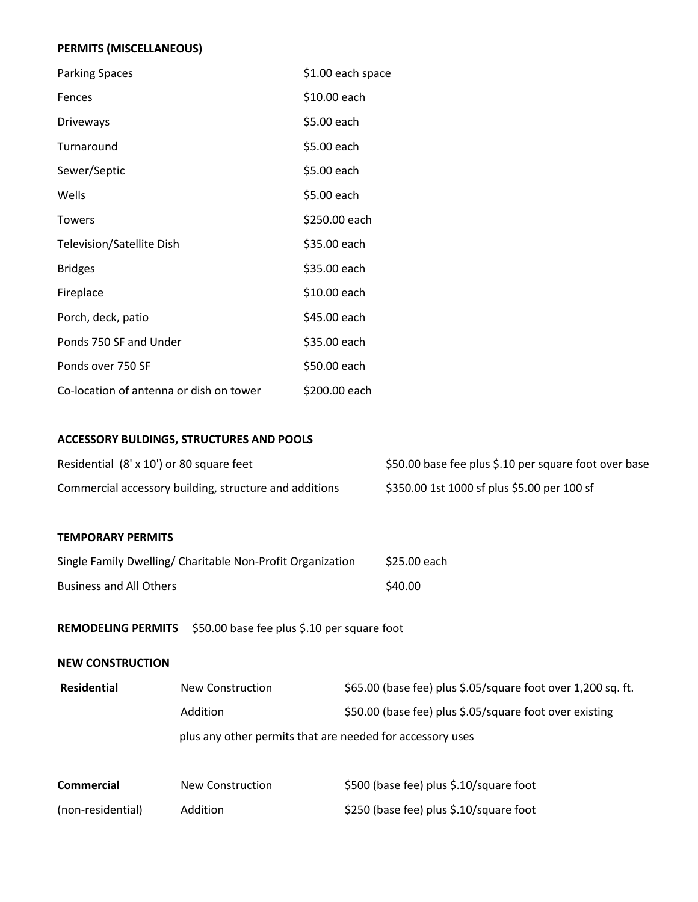## **PERMITS (MISCELLANEOUS)**

| <b>Parking Spaces</b>                   | \$1.00 each space |
|-----------------------------------------|-------------------|
| Fences                                  | \$10.00 each      |
| <b>Driveways</b>                        | \$5.00 each       |
| Turnaround                              | \$5.00 each       |
| Sewer/Septic                            | \$5.00 each       |
| Wells                                   | \$5.00 each       |
| Towers                                  | \$250.00 each     |
| Television/Satellite Dish               | \$35.00 each      |
| <b>Bridges</b>                          | \$35.00 each      |
| Fireplace                               | \$10.00 each      |
| Porch, deck, patio                      | \$45.00 each      |
| Ponds 750 SF and Under                  | \$35.00 each      |
| Ponds over 750 SF                       | \$50.00 each      |
| Co-location of antenna or dish on tower | \$200.00 each     |

# **ACCESSORY BULDINGS, STRUCTURES AND POOLS**

| Residential (8' x 10') or 80 square feet               | \$50.00 base fee plus \$.10 per square foot over base |
|--------------------------------------------------------|-------------------------------------------------------|
| Commercial accessory building, structure and additions | \$350.00 1st 1000 sf plus \$5.00 per 100 sf           |

#### **TEMPORARY PERMITS**

| Single Family Dwelling/ Charitable Non-Profit Organization | \$25.00 each |
|------------------------------------------------------------|--------------|
| <b>Business and All Others</b>                             | \$40.00      |

**REMODELING PERMITS** \$50.00 base fee plus \$.10 per square foot

#### **NEW CONSTRUCTION**

| <b>Residential</b> | New Construction                                          | \$65.00 (base fee) plus \$.05/square foot over 1,200 sq. ft. |
|--------------------|-----------------------------------------------------------|--------------------------------------------------------------|
|                    | Addition                                                  | \$50.00 (base fee) plus \$.05/square foot over existing      |
|                    | plus any other permits that are needed for accessory uses |                                                              |
|                    |                                                           |                                                              |
| <b>Commercial</b>  | New Construction                                          | \$500 (base fee) plus \$.10/square foot                      |

(non-residential) Addition \$250 (base fee) plus \$.10/square foot